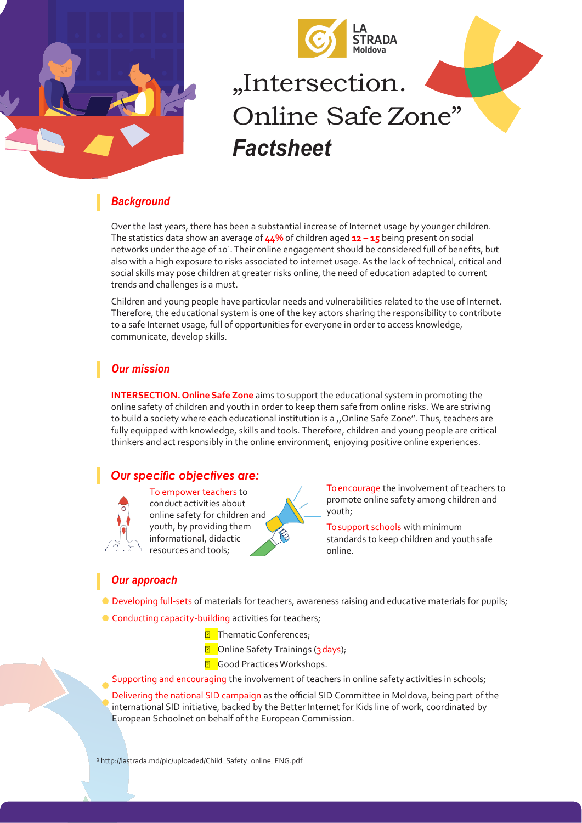

# "Intersection. Online Safe Zone" *Factsheet*

## *Background*

Over the last years, there has been a substantial increase of Internet usage by younger children. The statistics data show an average of **44%** of children aged **12 – 15** being present on social networks under the age of 10<sup>1</sup>. Their online engagement should be considered full of benefits, but also with a high exposure to risks associated to internet usage. As the lack of technical, critical and social skills may pose children at greater risks online, the need of education adapted to current trends and challenges is a must.

Children and young people have particular needs and vulnerabilities related to the use of Internet. Therefore, the educational system is one of the key actors sharing the responsibility to contribute to a safe Internet usage, full of opportunities for everyone in order to access knowledge, communicate, develop skills.

## *Our mission*

**INTERSECTION. Online Safe Zone** aims to support the educational system in promoting the online safety of children and youth in order to keep them safe from online risks. We are striving to build a society where each educational institution is a "Online Safe Zone". Thus, teachers are fully equipped with knowledge, skills and tools. Therefore, children and young people are critical thinkers and act responsibly in the online environment, enjoying positive online experiences.

## *Our specific objectives are:*



To empower teachers to conduct activities about online safety for children and youth, by providing them informational, didactic resources and tools;

To encourage the involvement of teachers to promote online safety among children and youth;

To support schools with minimum standards to keep children and youthsafe online.

## *Our approach*

- Developing full-sets of materials for teachers, awareness raising and educative materials for pupils;
- Conducting capacity-building activities for teachers;
	- **7** Thematic Conferences;
	- **a** Online Safety Trainings (3 days);
	- **B** Good Practices Workshops.
	- Supporting and encouraging the involvement of teachers in online safety activities in schools;

Delivering the national SID campaign as the official SID Committee in Moldova, being part of the international SID initiative, backed by the Better Internet for Kids line of work, coordinated by European Schoolnet on behalf of the European Commission.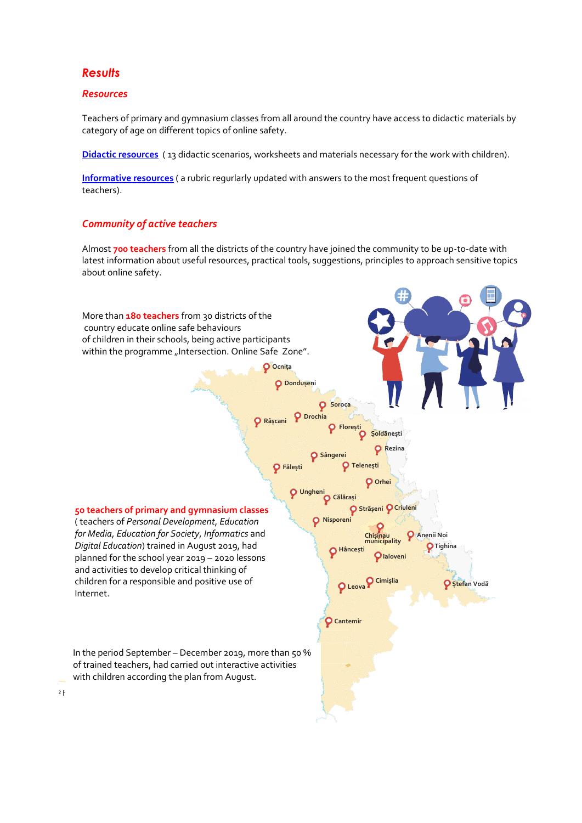#### *Results*

#### *Resources*

Teachers of primary and gymnasium classes from all around the country have access to didactic materials by category of age on different topics of online safety.

**[Didactic resources](https://siguronline.md/rom/educatori/resurse-didactice)** ( 13 didactic scenarios, worksheets and materials necessary for the work with children).

**[Informative resources](https://siguronline.md/rom/educatori/informatii-si-sfaturi)** ( a rubric regurlarly updated with answers to the most frequent questions of teachers).

#### *Community of active teachers*

Almost **700 teachers** from all the districts of the country have joined the community to be up-to-date with latest information about useful resources, practical tools, suggestions, principles to approach sensitive topics about online safety.